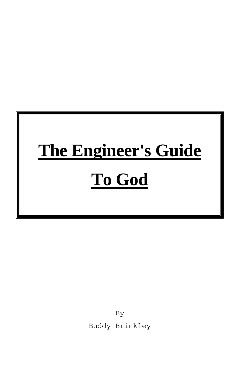# **The Engineer's Guide To God**

By Buddy Brinkley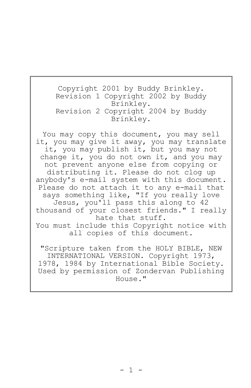Copyright 2001 by Buddy Brinkley. Revision 1 Copyright 2002 by Buddy Brinkley. Revision 2 Copyright 2004 by Buddy Brinkley.

You may copy this document, you may sell it, you may give it away, you may translate it, you may publish it, but you may not change it, you do not own it, and you may not prevent anyone else from copying or distributing it. Please do not clog up anybody's e-mail system with this document. Please do not attach it to any e-mail that says something like, "If you really love Jesus, you'll pass this along to 42 thousand of your closest friends." I really hate that stuff. You must include this Copyright notice with all copies of this document.

"Scripture taken from the HOLY BIBLE, NEW INTERNATIONAL VERSION. Copyright 1973, 1978, 1984 by International Bible Society. Used by permission of Zondervan Publishing House."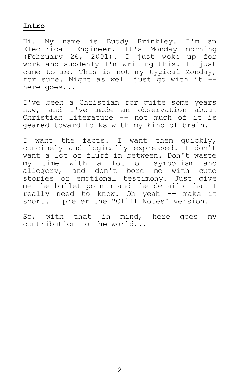#### **Intro**

Hi. My name is Buddy Brinkley. I'm an Electrical Engineer. It's Monday morning (February 26, 2001). I just woke up for work and suddenly I'm writing this. It just came to me. This is not my typical Monday, for sure. Might as well just go with it - here goes...

I've been a Christian for quite some years now, and I've made an observation about Christian literature -- not much of it is geared toward folks with my kind of brain.

I want the facts. I want them quickly, concisely and logically expressed. I don't want a lot of fluff in between. Don't waste my time with a lot of symbolism and allegory, and don't bore me with cute stories or emotional testimony. Just give me the bullet points and the details that I really need to know. Oh yeah -- make it short. I prefer the "Cliff Notes" version.

So, with that in mind, here goes my contribution to the world...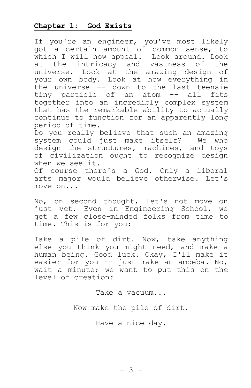## **Chapter 1: God Exists**

If you're an engineer, you've most likely got a certain amount of common sense, to which I will now appeal. Look around. Look at the intricacy and vastness of the universe. Look at the amazing design of your own body. Look at how everything in the universe -- down to the last teensie tiny particle of an atom -- all fits together into an incredibly complex system that has the remarkable ability to actually continue to function for an apparently long period of time.

Do you really believe that such an amazing system could just make itself? We who design the structures, machines, and toys of civilization ought to recognize design when we see it.

Of course there's a God. Only a liberal arts major would believe otherwise. Let's move on...

No, on second thought, let's not move on just yet. Even in Engineering School, we get a few close-minded folks from time to time. This is for you:

Take a pile of dirt. Now, take anything else you think you might need, and make a human being. Good luck. Okay, I'll make it easier for you -- just make an amoeba. No, wait a minute; we want to put this on the level of creation:

Take a vacuum...

Now make the pile of dirt.

Have a nice day.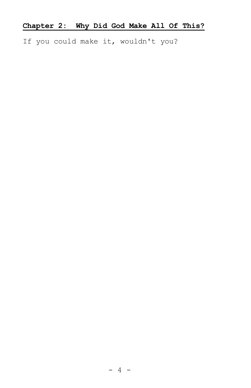If you could make it, wouldn't you?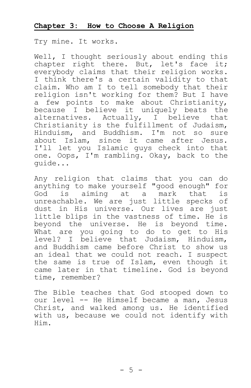#### **Chapter 3: How to Choose A Religion**

Try mine. It works.

Well, I thought seriously about ending this chapter right there. But, let's face it; everybody claims that their religion works. I think there's a certain validity to that claim. Who am I to tell somebody that their religion isn't working for them? But I have a few points to make about Christianity, because I believe it uniquely beats the alternatives. Actually, I believe that Christianity is the fulfillment of Judaism, Hinduism, and Buddhism. I'm not so sure about Islam, since it came after Jesus. I'll let you Islamic guys check into that one. Oops, I'm rambling. Okay, back to the guide...

Any religion that claims that you can do anything to make yourself "good enough" for God is aiming at a mark that is unreachable. We are just little specks of dust in His universe. Our lives are just little blips in the vastness of time. He is beyond the universe. He is beyond time. What are you going to do to get to His level? I believe that Judaism, Hinduism, and Buddhism came before Christ to show us an ideal that we could not reach. I suspect the same is true of Islam, even though it came later in that timeline. God is beyond time, remember?

The Bible teaches that God stooped down to our level -- He Himself became a man, Jesus Christ, and walked among us. He identified with us, because we could not identify with Him.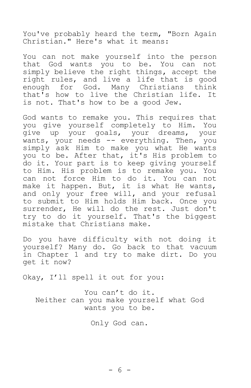You've probably heard the term, "Born Again Christian." Here's what it means:

You can not make yourself into the person that God wants you to be. You can not simply believe the right things, accept the right rules, and live a life that is good enough for God. Many Christians think that's how to live the Christian life. It is not. That's how to be a good Jew.

God wants to remake you. This requires that you give yourself completely to Him. You give up your goals, your dreams, your wants, your needs -- everything. Then, you simply ask Him to make you what He wants you to be. After that, it's His problem to do it. Your part is to keep giving yourself to Him. His problem is to remake you. You can not force Him to do it. You can not make it happen. But, it is what He wants, and only your free will, and your refusal to submit to Him holds Him back. Once you surrender, He will do the rest. Just don't try to do it yourself. That's the biggest mistake that Christians make.

Do you have difficulty with not doing it yourself? Many do. Go back to that vacuum in Chapter 1 and try to make dirt. Do you get it now?

Okay, I'll spell it out for you:

You can't do it. Neither can you make yourself what God wants you to be.

Only God can.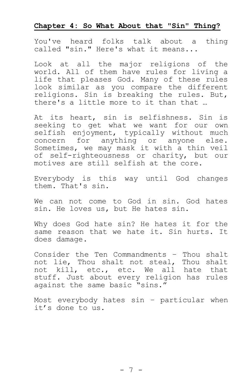### **Chapter 4: So What About that "Sin" Thing?**

You've heard folks talk about a thing called "sin." Here's what it means...

Look at all the major religions of the world. All of them have rules for living a life that pleases God. Many of these rules look similar as you compare the different religions. Sin is breaking the rules. But, there's a little more to it than that …

At its heart, sin is selfishness. Sin is seeking to get what we want for our own selfish enjoyment, typically without much concern for anything or anyone else. Sometimes, we may mask it with a thin veil of self-righteousness or charity, but our motives are still selfish at the core.

Everybody is this way until God changes them. That's sin.

We can not come to God in sin. God hates sin. He loves us, but He hates sin.

Why does God hate sin? He hates it for the same reason that we hate it. Sin hurts. It does damage.

Consider the Ten Commandments – Thou shalt not lie, Thou shalt not steal, Thou shalt not kill, etc., etc. We all hate that stuff. Just about every religion has rules against the same basic "sins."

Most everybody hates sin – particular when it's done to us.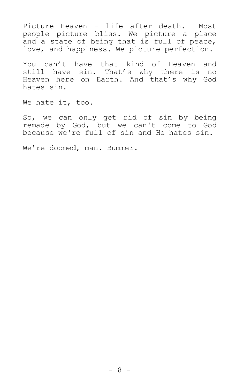Picture Heaven – life after death. Most people picture bliss. We picture a place and a state of being that is full of peace, love, and happiness. We picture perfection.

You can't have that kind of Heaven and still have sin. That's why there is no Heaven here on Earth. And that's why God hates sin.

We hate it, too.

So, we can only get rid of sin by being remade by God, but we can't come to God because we're full of sin and He hates sin.

We're doomed, man. Bummer.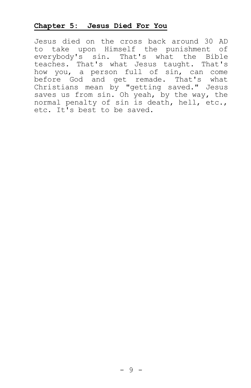#### **Chapter 5: Jesus Died For You**

Jesus died on the cross back around 30 AD to take upon Himself the punishment of everybody's sin. That's what the Bible teaches. That's what Jesus taught. That's how you, a person full of sin, can come before God and get remade. That's what Christians mean by "getting saved." Jesus saves us from sin. Oh yeah, by the way, the normal penalty of sin is death, hell, etc., etc. It's best to be saved.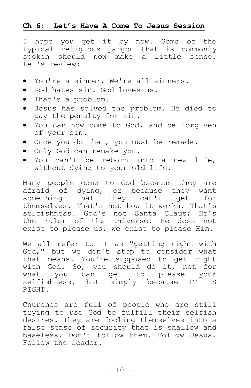#### **Ch 6: Let's Have A Come To Jesus Session**

I hope you get it by now. Some of the typical religious jargon that is commonly spoken should now make a little sense. Let's review:

- You're a sinner. We're all sinners.
- God hates sin. God loves us.
- That's a problem.
- Jesus has solved the problem. He died to pay the penalty for sin.
- You can now come to God, and be forgiven of your sin.
- . Once you do that, you must be remade.
- Only God can remake you.
- You can't be reborn into a new life, without dying to your old life.

Many people come to God because they are afraid of dying, or because they want something that they can't get for themselves. That's not how it works. That's selfishness. God's not Santa Claus; He's the ruler of the universe. He does not exist to please us; we exist to please Him.

We all refer to it as "getting right with God," but we don't stop to consider what that means. You're supposed to get right with God. So, you should do it, not for what you can get to please your selfishness, but simply because IT IS RIGHT.

Churches are full of people who are still trying to use God to fulfill their selfish desires. They are fooling themselves into a false sense of security that is shallow and baseless. Don't follow them. Follow Jesus. Follow the leader.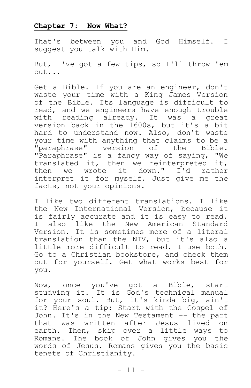#### **Chapter 7: Now What?**

That's between you and God Himself. I suggest you talk with Him.

But, I've got a few tips, so I'll throw 'em out...

Get a Bible. If you are an engineer, don't waste your time with a King James Version of the Bible. Its language is difficult to read, and we engineers have enough trouble with reading already. It was a great version back in the 1600s, but it's a bit hard to understand now. Also, don't waste your time with anything that claims to be a "paraphrase" version of the Bible. "Paraphrase" is a fancy way of saying, "We translated it, then we reinterpreted it, then we wrote it down." I'd rather interpret it for myself. Just give me the facts, not your opinions.

I like two different translations. I like the New International Version, because it is fairly accurate and it is easy to read. I also like the New American Standard Version. It is sometimes more of a literal translation than the NIV, but it's also a little more difficult to read. I use both. Go to a Christian bookstore, and check them out for yourself. Get what works best for you.

Now, once you've got a Bible, start studying it. It is God's technical manual for your soul. But, it's kinda big, ain't it? Here's a tip: Start with the Gospel of John. It's in the New Testament -- the part that was written after Jesus lived on earth. Then, skip over a little ways to Romans. The book of John gives you the words of Jesus. Romans gives you the basic tenets of Christianity.

 $- 11 -$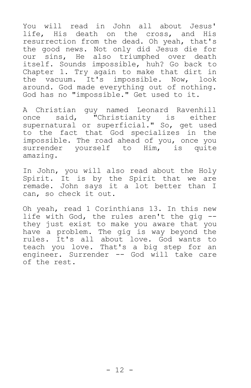You will read in John all about Jesus' life, His death on the cross, and His resurrection from the dead. Oh yeah, that's the good news. Not only did Jesus die for our sins, He also triumphed over death itself. Sounds impossible, huh? Go back to Chapter 1. Try again to make that dirt in the vacuum. It's impossible. Now, look around. God made everything out of nothing. God has no "impossible." Get used to it.

A Christian guy named Leonard Ravenhill once said, "Christianity is either supernatural or superficial." So, get used to the fact that God specializes in the impossible. The road ahead of you, once you surrender yourself to Him, is quite amazing.

In John, you will also read about the Holy Spirit. It is by the Spirit that we are remade. John says it a lot better than I can, so check it out.

Oh yeah, read 1 Corinthians 13. In this new life with God, the rules aren't the gig - they just exist to make you aware that you have a problem. The gig is way beyond the rules. It's all about love. God wants to teach you love. That's a big step for an engineer. Surrender -- God will take care of the rest.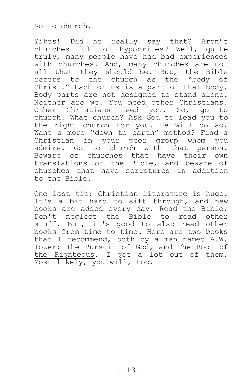Go to church.

Yikes! Did he really say that? Aren't churches full of hypocrites? Well, quite truly, many people have had bad experiences with churches. And, many churches are not all that they should be. But, the Bible refers to the church as the "body of Christ." Each of us is a part of that body. Body parts are not designed to stand alone. Neither are we. You need other Christians. Other Christians need you. So, go to church. What church? Ask God to lead you to the right church for you. He will do so. Want a more "down to earth" method? Find a Christian in your peer group whom you admire. Go to church with that person. Beware of churches that have their own translations of the Bible, and beware of churches that have scriptures in addition to the Bible.

One last tip: Christian literature is huge. It's a bit hard to sift through, and new books are added every day. Read the Bible. Don't neglect the Bible to read other stuff. But, it's good to also read other books from time to time. Here are two books that I recommend, both by a man named A.W. Tozer: The Pursuit of God, and The Root of the Righteous. I got a lot out of them. Most likely, you will, too.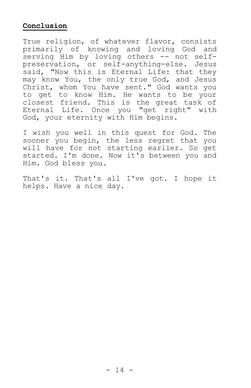# **Conclusion**

True religion, of whatever flavor, consists primarily of knowing and loving God and serving Him by loving others -- not selfpreservation, or self-anything-else. Jesus said, "Now this is Eternal Life: that they may know You, the only true God, and Jesus Christ, whom You have sent." God wants you to get to know Him. He wants to be your closest friend. This is the great task of Eternal Life. Once you "get right" with God, your eternity with Him begins.

I wish you well in this quest for God. The sooner you begin, the less regret that you will have for not starting earlier. So get started. I'm done. Now it's between you and Him. God bless you.

That's it. That's all I've got. I hope it helps. Have a nice day.